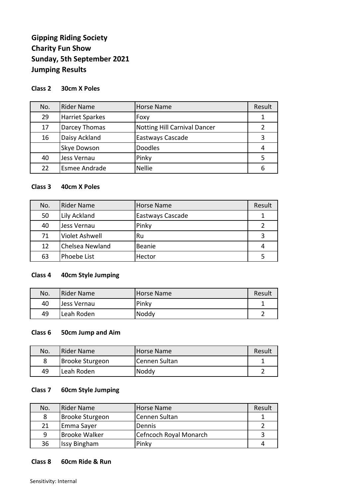# **Gipping Riding Society Charity Fun Show Sunday, 5th September 2021 Jumping Results**

## **Class 2 30cm X Poles**

| No. | <b>Rider Name</b>      | <b>Horse Name</b>                   | Result        |
|-----|------------------------|-------------------------------------|---------------|
| 29  | <b>Harriet Sparkes</b> | Foxy                                |               |
| 17  | Darcey Thomas          | <b>Notting Hill Carnival Dancer</b> | $\mathcal{P}$ |
| 16  | Daisy Ackland          | Eastways Cascade                    | 3             |
|     | <b>Skye Dowson</b>     | <b>Doodles</b>                      |               |
| 40  | Jess Vernau            | Pinky                               |               |
| 22  | <b>Esmee Andrade</b>   | <b>Nellie</b>                       | 6             |

## **Class 3 40cm X Poles**

| No. | <b>Rider Name</b> | Horse Name       | Result |
|-----|-------------------|------------------|--------|
| 50  | Lily Ackland      | Eastways Cascade |        |
| 40  | Jess Vernau       | Pinky            | 2      |
| 71  | Violet Ashwell    | Ru               | 3      |
| 12  | Chelsea Newland   | Beanie           | 4      |
| 63  | Phoebe List       | Hector           |        |

## **Class 4 40cm Style Jumping**

| No. | <b>Rider Name</b> | Horse Name | Result |
|-----|-------------------|------------|--------|
| 40  | Jess Vernau       | Pinky      |        |
| 49  | Leah Roden        | Noddy      |        |

### **Class 6 50cm Jump and Aim**

| No. | Rider Name      | Horse Name    | Result |
|-----|-----------------|---------------|--------|
|     | Brooke Sturgeon | Cennen Sultan |        |
| 49  | Leah Roden      | Noddy         |        |

#### **Class 7 60cm Style Jumping**

| No. | Rider Name           | Horse Name             | Result |
|-----|----------------------|------------------------|--------|
| 8   | Brooke Sturgeon      | Cennen Sultan          |        |
| 21  | Emma Sayer           | <b>Dennis</b>          |        |
| 9   | <b>Brooke Walker</b> | Cefncoch Royal Monarch |        |
| 36  | <b>Issy Bingham</b>  | Pinky                  |        |

#### **Class 8 60cm Ride & Run**